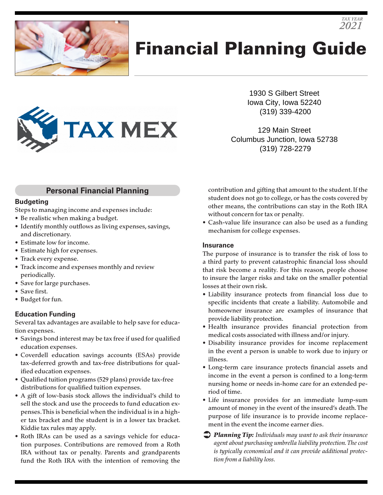

# Financial Planning Guide



1930 S Gilbert Street Iowa City, Iowa 52240 (319) 339-4200

*TAX YEAR 2021*

129 Main Street Columbus Junction, Iowa 52738 (319) 728-2279

### **Personal Financial Planning**

#### **Budgeting**

Steps to managing income and expenses include:

- Be realistic when making a budget.
- Identify monthly outflows as living expenses, savings, and discretionary.
- Estimate low for income.
- Estimate high for expenses.
- Track every expense.
- Track income and expenses monthly and review periodically.
- Save for large purchases.
- Save first.
- Budget for fun.

#### **Education Funding**

Several tax advantages are available to help save for education expenses.

- Savings bond interest may be tax free if used for qualified education expenses.
- Coverdell education savings accounts (ESAs) provide tax-deferred growth and tax-free distributions for qualified education expenses.
- Qualified tuition programs (529 plans) provide tax-free distributions for qualified tuition expenses.
- A gift of low-basis stock allows the individual's child to sell the stock and use the proceeds to fund education expenses. This is beneficial when the individual is in a higher tax bracket and the student is in a lower tax bracket. Kiddie tax rules may apply.
- Roth IRAs can be used as a savings vehicle for education purposes. Contributions are removed from a Roth IRA without tax or penalty. Parents and grandparents fund the Roth IRA with the intention of removing the

contribution and gifting that amount to the student. If the student does not go to college, or has the costs covered by other means, the contributions can stay in the Roth IRA without concern for tax or penalty.

• Cash-value life insurance can also be used as a funding mechanism for college expenses.

#### **Insurance**

The purpose of insurance is to transfer the risk of loss to a third party to prevent catastrophic financial loss should that risk become a reality. For this reason, people choose to insure the larger risks and take on the smaller potential losses at their own risk.

- Liability insurance protects from financial loss due to specific incidents that create a liability. Automobile and homeowner insurance are examples of insurance that provide liability protection.
- Health insurance provides financial protection from medical costs associated with illness and/or injury.
- Disability insurance provides for income replacement in the event a person is unable to work due to injury or illness.
- Long-term care insurance protects financial assets and income in the event a person is confined to a long-term nursing home or needs in-home care for an extended period of time.
- Life insurance provides for an immediate lump-sum amount of money in the event of the insured's death. The purpose of life insurance is to provide income replacement in the event the income earner dies.
- *Planning Tip: Individuals may want to ask their insurance agent about purchasing umbrella liability protection. The cost is typically economical and it can provide additional protection from a liability loss.*